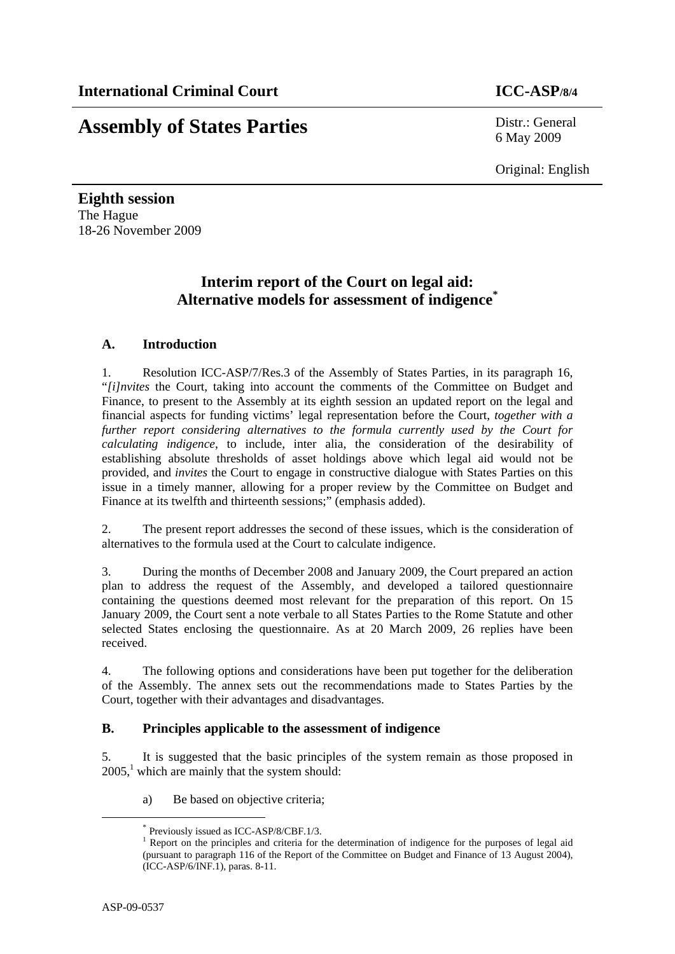## **Assembly of States Parties** Distr.: General

6 May 2009

Original: English

**Eighth session**  The Hague 18-26 November 2009

### **Interim report of the Court on legal aid: Alternative models for assessment of indigence\***

#### **A. Introduction**

1. Resolution ICC-ASP/7/Res.3 of the Assembly of States Parties, in its paragraph 16, "*[i]nvites* the Court, taking into account the comments of the Committee on Budget and Finance, to present to the Assembly at its eighth session an updated report on the legal and financial aspects for funding victims' legal representation before the Court, *together with a further report considering alternatives to the formula currently used by the Court for calculating indigence*, to include, inter alia, the consideration of the desirability of establishing absolute thresholds of asset holdings above which legal aid would not be provided, and *invites* the Court to engage in constructive dialogue with States Parties on this issue in a timely manner, allowing for a proper review by the Committee on Budget and Finance at its twelfth and thirteenth sessions;" (emphasis added).

2. The present report addresses the second of these issues, which is the consideration of alternatives to the formula used at the Court to calculate indigence.

3. During the months of December 2008 and January 2009, the Court prepared an action plan to address the request of the Assembly, and developed a tailored questionnaire containing the questions deemed most relevant for the preparation of this report. On 15 January 2009, the Court sent a note verbale to all States Parties to the Rome Statute and other selected States enclosing the questionnaire. As at 20 March 2009, 26 replies have been received.

4. The following options and considerations have been put together for the deliberation of the Assembly. The annex sets out the recommendations made to States Parties by the Court, together with their advantages and disadvantages.

#### **B. Principles applicable to the assessment of indigence**

5. It is suggested that the basic principles of the system remain as those proposed in  $2005$ ,<sup>1</sup> which are mainly that the system should:

a) Be based on objective criteria;

 <sup>\*</sup> Previously issued as ICC-ASP/8/CBF.1/3.

<sup>&</sup>lt;sup>1</sup> Report on the principles and criteria for the determination of indigence for the purposes of legal aid (pursuant to paragraph 116 of the Report of the Committee on Budget and Finance of 13 August 2004), (ICC-ASP/6/INF.1), paras. 8-11.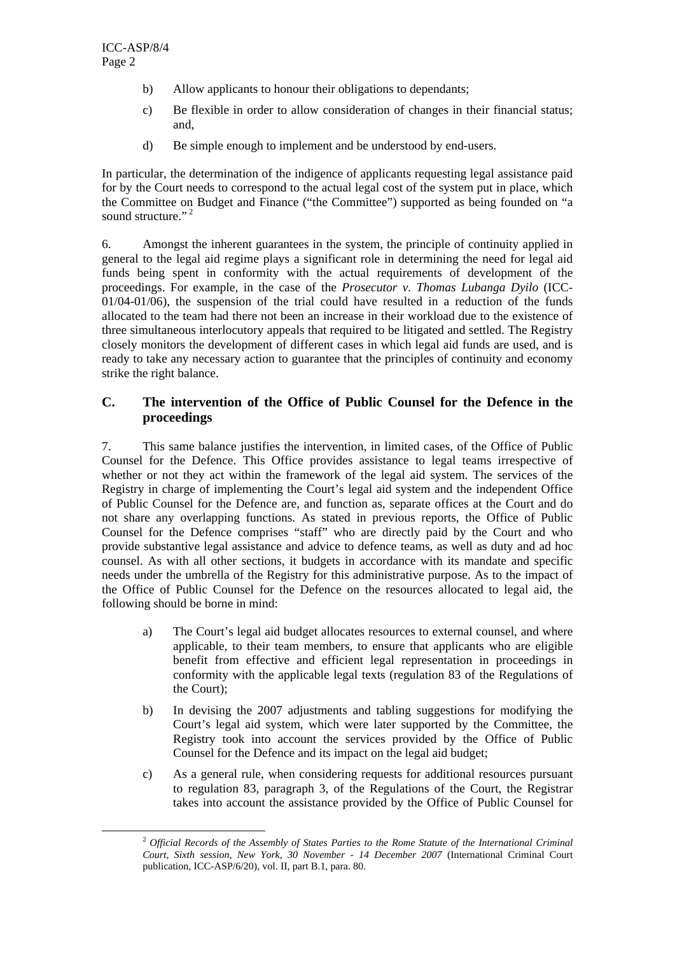- b) Allow applicants to honour their obligations to dependants;
- c) Be flexible in order to allow consideration of changes in their financial status; and,
- d) Be simple enough to implement and be understood by end-users.

In particular, the determination of the indigence of applicants requesting legal assistance paid for by the Court needs to correspond to the actual legal cost of the system put in place, which the Committee on Budget and Finance ("the Committee") supported as being founded on "a sound structure."<sup>2</sup>

6. Amongst the inherent guarantees in the system, the principle of continuity applied in general to the legal aid regime plays a significant role in determining the need for legal aid funds being spent in conformity with the actual requirements of development of the proceedings. For example, in the case of the *Prosecutor v. Thomas Lubanga Dyilo* (ICC- $01/04-01/06$ , the suspension of the trial could have resulted in a reduction of the funds allocated to the team had there not been an increase in their workload due to the existence of three simultaneous interlocutory appeals that required to be litigated and settled. The Registry closely monitors the development of different cases in which legal aid funds are used, and is ready to take any necessary action to guarantee that the principles of continuity and economy strike the right balance.

#### **C. The intervention of the Office of Public Counsel for the Defence in the proceedings**

7. This same balance justifies the intervention, in limited cases, of the Office of Public Counsel for the Defence. This Office provides assistance to legal teams irrespective of whether or not they act within the framework of the legal aid system. The services of the Registry in charge of implementing the Court's legal aid system and the independent Office of Public Counsel for the Defence are, and function as, separate offices at the Court and do not share any overlapping functions. As stated in previous reports, the Office of Public Counsel for the Defence comprises "staff" who are directly paid by the Court and who provide substantive legal assistance and advice to defence teams, as well as duty and ad hoc counsel. As with all other sections, it budgets in accordance with its mandate and specific needs under the umbrella of the Registry for this administrative purpose. As to the impact of the Office of Public Counsel for the Defence on the resources allocated to legal aid, the following should be borne in mind:

- a) The Court's legal aid budget allocates resources to external counsel, and where applicable, to their team members, to ensure that applicants who are eligible benefit from effective and efficient legal representation in proceedings in conformity with the applicable legal texts (regulation 83 of the Regulations of the Court);
- b) In devising the 2007 adjustments and tabling suggestions for modifying the Court's legal aid system, which were later supported by the Committee, the Registry took into account the services provided by the Office of Public Counsel for the Defence and its impact on the legal aid budget;
- c) As a general rule, when considering requests for additional resources pursuant to regulation 83, paragraph 3, of the Regulations of the Court, the Registrar takes into account the assistance provided by the Office of Public Counsel for

 <sup>2</sup> *Official Records of the Assembly of States Parties to the Rome Statute of the International Criminal Court, Sixth session, New York, 30 November - 14 December 2007* (International Criminal Court publication, ICC-ASP/6/20), vol. II, part B.1, para. 80.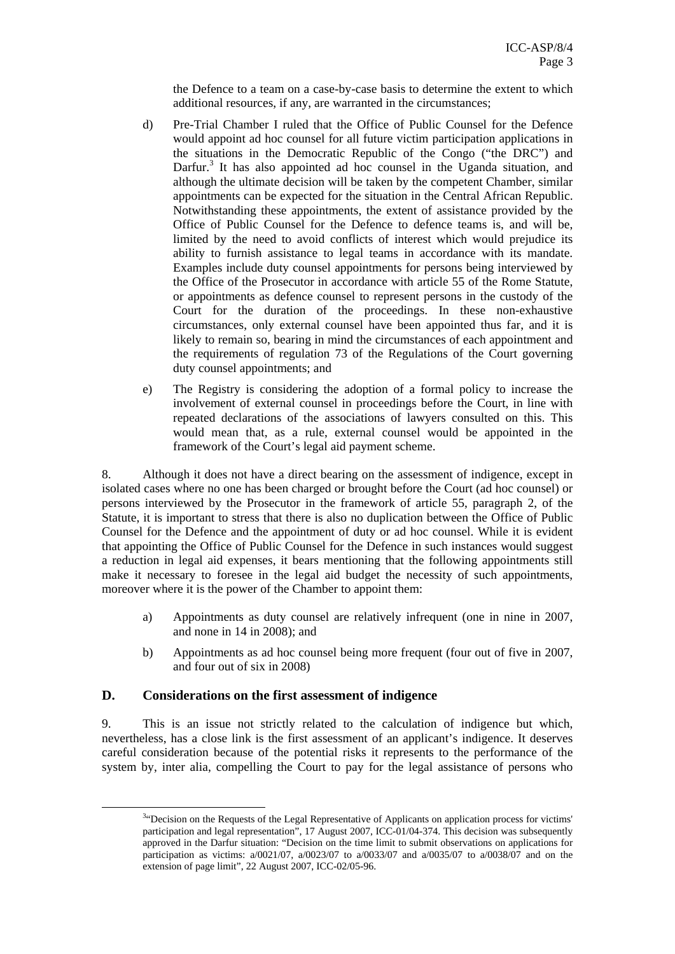the Defence to a team on a case-by-case basis to determine the extent to which additional resources, if any, are warranted in the circumstances;

- d) Pre-Trial Chamber I ruled that the Office of Public Counsel for the Defence would appoint ad hoc counsel for all future victim participation applications in the situations in the Democratic Republic of the Congo ("the DRC") and Darfur.<sup>3</sup> It has also appointed ad hoc counsel in the Uganda situation, and although the ultimate decision will be taken by the competent Chamber, similar appointments can be expected for the situation in the Central African Republic. Notwithstanding these appointments, the extent of assistance provided by the Office of Public Counsel for the Defence to defence teams is, and will be, limited by the need to avoid conflicts of interest which would prejudice its ability to furnish assistance to legal teams in accordance with its mandate. Examples include duty counsel appointments for persons being interviewed by the Office of the Prosecutor in accordance with article 55 of the Rome Statute, or appointments as defence counsel to represent persons in the custody of the Court for the duration of the proceedings. In these non-exhaustive circumstances, only external counsel have been appointed thus far, and it is likely to remain so, bearing in mind the circumstances of each appointment and the requirements of regulation 73 of the Regulations of the Court governing duty counsel appointments; and
- e) The Registry is considering the adoption of a formal policy to increase the involvement of external counsel in proceedings before the Court, in line with repeated declarations of the associations of lawyers consulted on this. This would mean that, as a rule, external counsel would be appointed in the framework of the Court's legal aid payment scheme.

8. Although it does not have a direct bearing on the assessment of indigence, except in isolated cases where no one has been charged or brought before the Court (ad hoc counsel) or persons interviewed by the Prosecutor in the framework of article 55, paragraph 2, of the Statute, it is important to stress that there is also no duplication between the Office of Public Counsel for the Defence and the appointment of duty or ad hoc counsel. While it is evident that appointing the Office of Public Counsel for the Defence in such instances would suggest a reduction in legal aid expenses, it bears mentioning that the following appointments still make it necessary to foresee in the legal aid budget the necessity of such appointments, moreover where it is the power of the Chamber to appoint them:

- a) Appointments as duty counsel are relatively infrequent (one in nine in 2007, and none in 14 in 2008); and
- b) Appointments as ad hoc counsel being more frequent (four out of five in 2007, and four out of six in 2008)

#### **D. Considerations on the first assessment of indigence**

9. This is an issue not strictly related to the calculation of indigence but which, nevertheless, has a close link is the first assessment of an applicant's indigence. It deserves careful consideration because of the potential risks it represents to the performance of the system by, inter alia, compelling the Court to pay for the legal assistance of persons who

 $\frac{3}{3}$ <sup>3</sup>"Decision on the Requests of the Legal Representative of Applicants on application process for victims' participation and legal representation", 17 August 2007, ICC-01/04-374. This decision was subsequently approved in the Darfur situation: "Decision on the time limit to submit observations on applications for participation as victims:  $a/0021/07$ ,  $a/0023/07$  to  $a/0033/07$  and  $a/0035/07$  to  $a/0038/07$  and on the extension of page limit", 22 August 2007, ICC-02/05-96.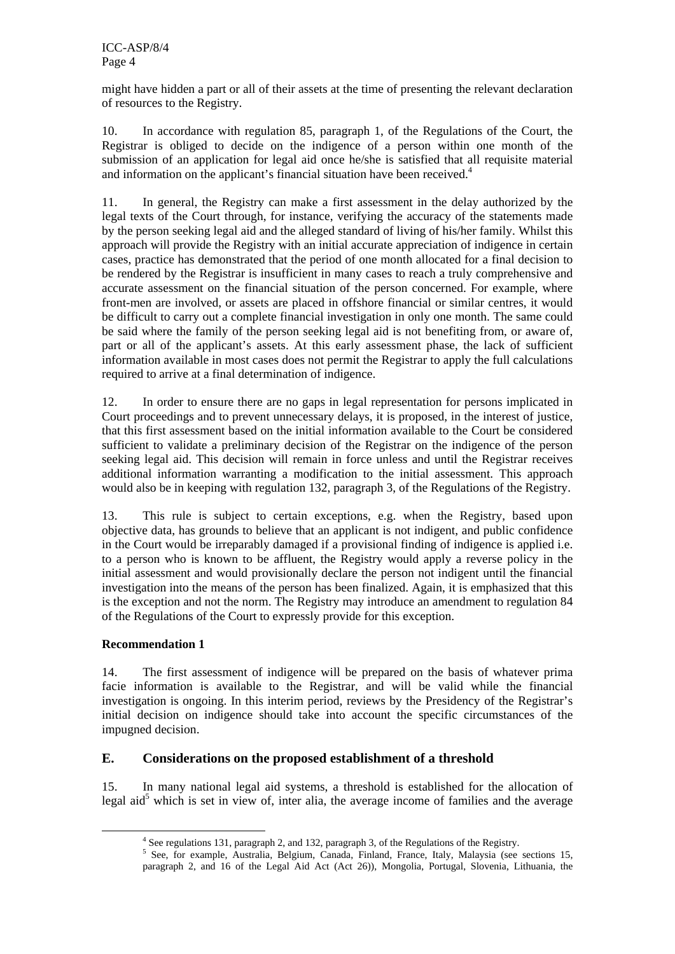might have hidden a part or all of their assets at the time of presenting the relevant declaration of resources to the Registry.

10. In accordance with regulation 85, paragraph 1, of the Regulations of the Court, the Registrar is obliged to decide on the indigence of a person within one month of the submission of an application for legal aid once he/she is satisfied that all requisite material and information on the applicant's financial situation have been received.<sup>4</sup>

11. In general, the Registry can make a first assessment in the delay authorized by the legal texts of the Court through, for instance, verifying the accuracy of the statements made by the person seeking legal aid and the alleged standard of living of his/her family. Whilst this approach will provide the Registry with an initial accurate appreciation of indigence in certain cases, practice has demonstrated that the period of one month allocated for a final decision to be rendered by the Registrar is insufficient in many cases to reach a truly comprehensive and accurate assessment on the financial situation of the person concerned. For example, where front-men are involved, or assets are placed in offshore financial or similar centres, it would be difficult to carry out a complete financial investigation in only one month. The same could be said where the family of the person seeking legal aid is not benefiting from, or aware of, part or all of the applicant's assets. At this early assessment phase, the lack of sufficient information available in most cases does not permit the Registrar to apply the full calculations required to arrive at a final determination of indigence.

12. In order to ensure there are no gaps in legal representation for persons implicated in Court proceedings and to prevent unnecessary delays, it is proposed, in the interest of justice, that this first assessment based on the initial information available to the Court be considered sufficient to validate a preliminary decision of the Registrar on the indigence of the person seeking legal aid. This decision will remain in force unless and until the Registrar receives additional information warranting a modification to the initial assessment. This approach would also be in keeping with regulation 132, paragraph 3, of the Regulations of the Registry.

13. This rule is subject to certain exceptions, e.g. when the Registry, based upon objective data, has grounds to believe that an applicant is not indigent, and public confidence in the Court would be irreparably damaged if a provisional finding of indigence is applied i.e. to a person who is known to be affluent, the Registry would apply a reverse policy in the initial assessment and would provisionally declare the person not indigent until the financial investigation into the means of the person has been finalized. Again, it is emphasized that this is the exception and not the norm. The Registry may introduce an amendment to regulation 84 of the Regulations of the Court to expressly provide for this exception.

#### **Recommendation 1**

14. The first assessment of indigence will be prepared on the basis of whatever prima facie information is available to the Registrar, and will be valid while the financial investigation is ongoing. In this interim period, reviews by the Presidency of the Registrar's initial decision on indigence should take into account the specific circumstances of the impugned decision.

#### **E. Considerations on the proposed establishment of a threshold**

15. In many national legal aid systems, a threshold is established for the allocation of legal aid<sup>5</sup> which is set in view of, inter alia, the average income of families and the average

 $\frac{1}{4}$ <sup>4</sup> See regulations 131, paragraph 2, and 132, paragraph 3, of the Regulations of the Registry.

<sup>&</sup>lt;sup>5</sup> See, for example, Australia, Belgium, Canada, Finland, France, Italy, Malaysia (see sections 15, paragraph 2, and 16 of the Legal Aid Act (Act 26)), Mongolia, Portugal, Slovenia, Lithuania, the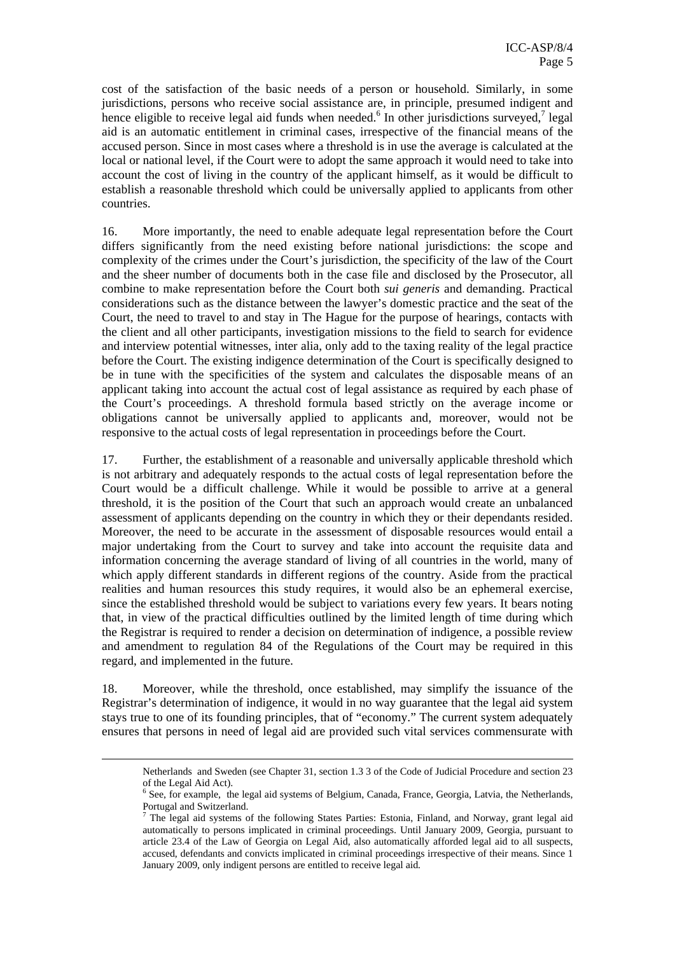cost of the satisfaction of the basic needs of a person or household. Similarly, in some jurisdictions, persons who receive social assistance are, in principle, presumed indigent and hence eligible to receive legal aid funds when needed.<sup>6</sup> In other jurisdictions surveyed,<sup>7</sup> legal aid is an automatic entitlement in criminal cases, irrespective of the financial means of the accused person. Since in most cases where a threshold is in use the average is calculated at the local or national level, if the Court were to adopt the same approach it would need to take into account the cost of living in the country of the applicant himself, as it would be difficult to establish a reasonable threshold which could be universally applied to applicants from other countries.

16. More importantly, the need to enable adequate legal representation before the Court differs significantly from the need existing before national jurisdictions: the scope and complexity of the crimes under the Court's jurisdiction, the specificity of the law of the Court and the sheer number of documents both in the case file and disclosed by the Prosecutor, all combine to make representation before the Court both *sui generis* and demanding. Practical considerations such as the distance between the lawyer's domestic practice and the seat of the Court, the need to travel to and stay in The Hague for the purpose of hearings, contacts with the client and all other participants, investigation missions to the field to search for evidence and interview potential witnesses, inter alia, only add to the taxing reality of the legal practice before the Court. The existing indigence determination of the Court is specifically designed to be in tune with the specificities of the system and calculates the disposable means of an applicant taking into account the actual cost of legal assistance as required by each phase of the Court's proceedings. A threshold formula based strictly on the average income or obligations cannot be universally applied to applicants and, moreover, would not be responsive to the actual costs of legal representation in proceedings before the Court.

17. Further, the establishment of a reasonable and universally applicable threshold which is not arbitrary and adequately responds to the actual costs of legal representation before the Court would be a difficult challenge. While it would be possible to arrive at a general threshold, it is the position of the Court that such an approach would create an unbalanced assessment of applicants depending on the country in which they or their dependants resided. Moreover, the need to be accurate in the assessment of disposable resources would entail a major undertaking from the Court to survey and take into account the requisite data and information concerning the average standard of living of all countries in the world, many of which apply different standards in different regions of the country. Aside from the practical realities and human resources this study requires, it would also be an ephemeral exercise, since the established threshold would be subject to variations every few years. It bears noting that, in view of the practical difficulties outlined by the limited length of time during which the Registrar is required to render a decision on determination of indigence, a possible review and amendment to regulation 84 of the Regulations of the Court may be required in this regard, and implemented in the future.

18. Moreover, while the threshold, once established, may simplify the issuance of the Registrar's determination of indigence, it would in no way guarantee that the legal aid system stays true to one of its founding principles, that of "economy." The current system adequately ensures that persons in need of legal aid are provided such vital services commensurate with

Netherlands and Sweden (see Chapter 31, section 1.3 3 of the Code of Judicial Procedure and section 23 of the Legal Aid Act).<br><sup>6</sup> See, for example, the legal aid systems of Belgium, Canada, France, Georgia, Latvia, the Netherlands,

Portugal and Switzerland.

<sup>&</sup>lt;sup>7</sup> The legal aid systems of the following States Parties: Estonia, Finland, and Norway, grant legal aid automatically to persons implicated in criminal proceedings. Until January 2009, Georgia, pursuant to article 23.4 of the Law of Georgia on Legal Aid, also automatically afforded legal aid to all suspects, accused, defendants and convicts implicated in criminal proceedings irrespective of their means. Since 1 January 2009, only indigent persons are entitled to receive legal aid*.*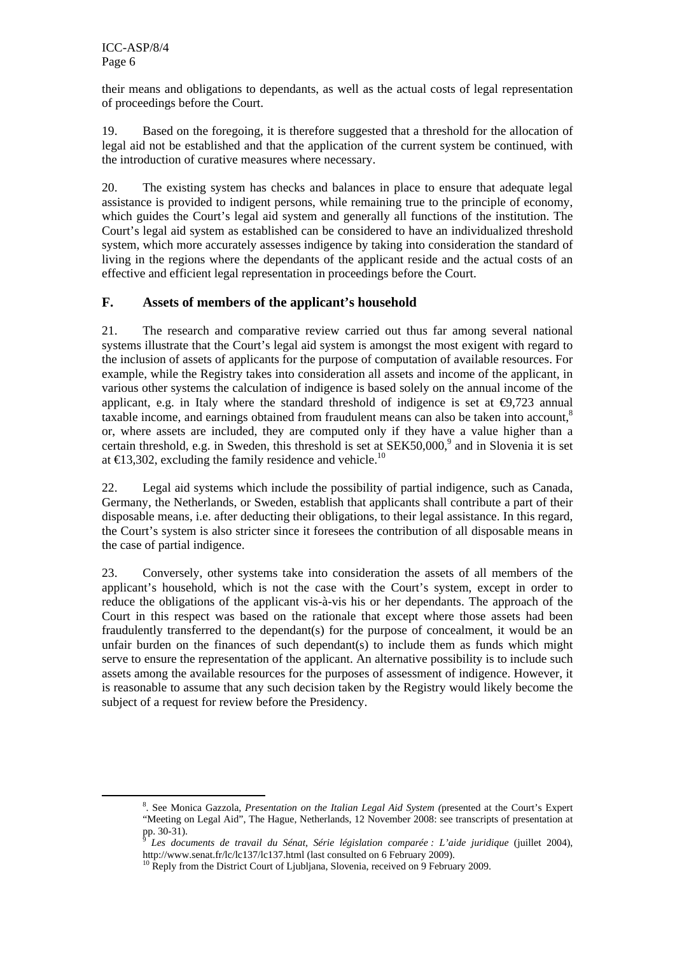their means and obligations to dependants, as well as the actual costs of legal representation of proceedings before the Court.

19. Based on the foregoing, it is therefore suggested that a threshold for the allocation of legal aid not be established and that the application of the current system be continued, with the introduction of curative measures where necessary.

20. The existing system has checks and balances in place to ensure that adequate legal assistance is provided to indigent persons, while remaining true to the principle of economy, which guides the Court's legal aid system and generally all functions of the institution. The Court's legal aid system as established can be considered to have an individualized threshold system, which more accurately assesses indigence by taking into consideration the standard of living in the regions where the dependants of the applicant reside and the actual costs of an effective and efficient legal representation in proceedings before the Court.

#### **F. Assets of members of the applicant's household**

21. The research and comparative review carried out thus far among several national systems illustrate that the Court's legal aid system is amongst the most exigent with regard to the inclusion of assets of applicants for the purpose of computation of available resources. For example, while the Registry takes into consideration all assets and income of the applicant, in various other systems the calculation of indigence is based solely on the annual income of the applicant, e.g. in Italy where the standard threshold of indigence is set at  $\Theta$ ,723 annual taxable income, and earnings obtained from fraudulent means can also be taken into account.<sup>8</sup> or, where assets are included, they are computed only if they have a value higher than a certain threshold, e.g. in Sweden, this threshold is set at  $SEK50,000$ , and in Slovenia it is set at  $\in$  13,302, excluding the family residence and vehicle.<sup>10</sup>

22. Legal aid systems which include the possibility of partial indigence, such as Canada, Germany, the Netherlands, or Sweden, establish that applicants shall contribute a part of their disposable means, i.e. after deducting their obligations, to their legal assistance. In this regard, the Court's system is also stricter since it foresees the contribution of all disposable means in the case of partial indigence.

23. Conversely, other systems take into consideration the assets of all members of the applicant's household, which is not the case with the Court's system, except in order to reduce the obligations of the applicant vis-à-vis his or her dependants. The approach of the Court in this respect was based on the rationale that except where those assets had been fraudulently transferred to the dependant(s) for the purpose of concealment, it would be an unfair burden on the finances of such dependant(s) to include them as funds which might serve to ensure the representation of the applicant. An alternative possibility is to include such assets among the available resources for the purposes of assessment of indigence. However, it is reasonable to assume that any such decision taken by the Registry would likely become the subject of a request for review before the Presidency.

 $\frac{1}{8}$ . See Monica Gazzola, *Presentation on the Italian Legal Aid System (*presented at the Court's Expert "Meeting on Legal Aid", The Hague, Netherlands, 12 November 2008: see transcripts of presentation at pp. 30-31).

<sup>9</sup> *Les documents de travail du Sénat, Série législation comparée : L'aide juridique* (juillet 2004),

http://www.senat.fr/lc/lc137/lc137.html (last consulted on 6 February 2009).<br><sup>10</sup> Reply from the District Court of Ljubljana, Slovenia, received on 9 February 2009.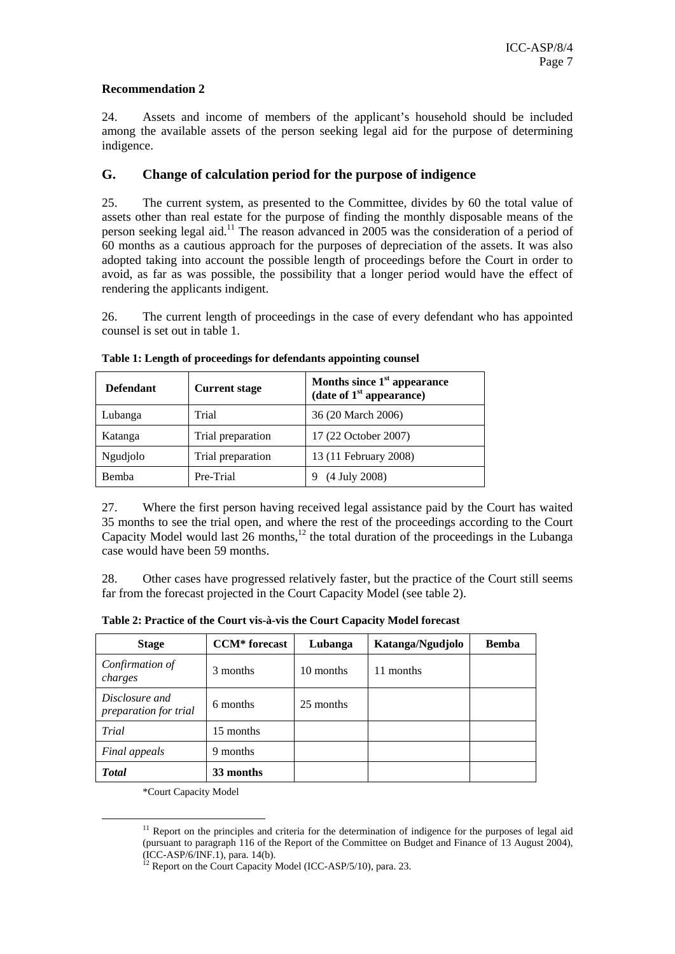#### **Recommendation 2**

24. Assets and income of members of the applicant's household should be included among the available assets of the person seeking legal aid for the purpose of determining indigence.

#### **G. Change of calculation period for the purpose of indigence**

25. The current system, as presented to the Committee, divides by 60 the total value of assets other than real estate for the purpose of finding the monthly disposable means of the person seeking legal aid.11 The reason advanced in 2005 was the consideration of a period of  $\overline{60}$  months as a cautious approach for the purposes of depreciation of the assets. It was also adopted taking into account the possible length of proceedings before the Court in order to avoid, as far as was possible, the possibility that a longer period would have the effect of rendering the applicants indigent.

26. The current length of proceedings in the case of every defendant who has appointed counsel is set out in table 1.

| <b>Defendant</b> | <b>Current stage</b> | Months since $1st$ appearance<br>(date of $1st$ appearance) |  |  |
|------------------|----------------------|-------------------------------------------------------------|--|--|
| Lubanga          | Trial                | 36 (20 March 2006)                                          |  |  |
| Katanga          | Trial preparation    | 17 (22 October 2007)                                        |  |  |
| Ngudjolo         | Trial preparation    | 13 (11 February 2008)                                       |  |  |
| Bemba            | Pre-Trial            | (4 July 2008)                                               |  |  |

**Table 1: Length of proceedings for defendants appointing counsel** 

27. Where the first person having received legal assistance paid by the Court has waited 35 months to see the trial open, and where the rest of the proceedings according to the Court Capacity Model would last  $26$  months,<sup>12</sup> the total duration of the proceedings in the Lubanga case would have been 59 months.

28. Other cases have progressed relatively faster, but the practice of the Court still seems far from the forecast projected in the Court Capacity Model (see table 2).

| <b>Stage</b>                                   | <b>CCM*</b> forecast | Lubanga   | Katanga/Ngudjolo | <b>Bemba</b> |
|------------------------------------------------|----------------------|-----------|------------------|--------------|
| Confirmation of<br>charges                     | 3 months             | 10 months | 11 months        |              |
| Disclosure and<br><i>preparation for trial</i> | 6 months             | 25 months |                  |              |
| Trial                                          | 15 months            |           |                  |              |
| Final appeals                                  | 9 months             |           |                  |              |
| <b>Total</b>                                   | 33 months            |           |                  |              |

**Table 2: Practice of the Court vis-à-vis the Court Capacity Model forecast** 

\*Court Capacity Model

 $11$  Report on the principles and criteria for the determination of indigence for the purposes of legal aid (pursuant to paragraph 116 of the Report of the Committee on Budget and Finance of 13 August 2004), (ICC-ASP/6/INF.1), para. 14(b).

<sup>&</sup>lt;sup>12</sup> Report on the Court Capacity Model (ICC-ASP/5/10), para. 23.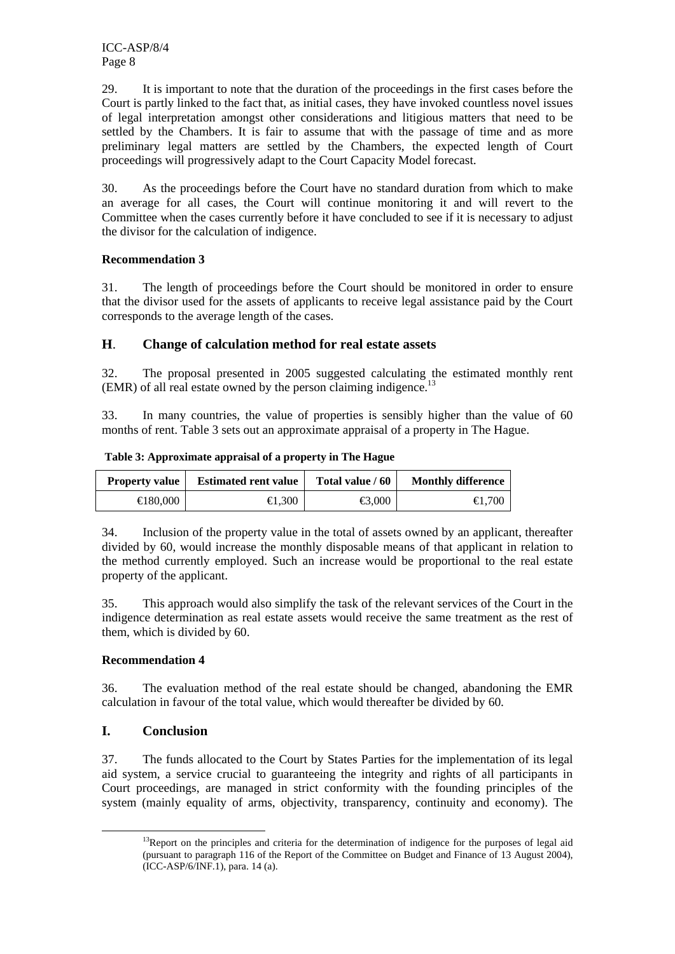ICC-ASP/8/4 Page 8

29. It is important to note that the duration of the proceedings in the first cases before the Court is partly linked to the fact that, as initial cases, they have invoked countless novel issues of legal interpretation amongst other considerations and litigious matters that need to be settled by the Chambers. It is fair to assume that with the passage of time and as more preliminary legal matters are settled by the Chambers, the expected length of Court proceedings will progressively adapt to the Court Capacity Model forecast.

30. As the proceedings before the Court have no standard duration from which to make an average for all cases, the Court will continue monitoring it and will revert to the Committee when the cases currently before it have concluded to see if it is necessary to adjust the divisor for the calculation of indigence.

#### **Recommendation 3**

31. The length of proceedings before the Court should be monitored in order to ensure that the divisor used for the assets of applicants to receive legal assistance paid by the Court corresponds to the average length of the cases.

#### **H**. **Change of calculation method for real estate assets**

32. The proposal presented in 2005 suggested calculating the estimated monthly rent (EMR) of all real estate owned by the person claiming indigence.<sup>13</sup>

33. In many countries, the value of properties is sensibly higher than the value of 60 months of rent. Table 3 sets out an approximate appraisal of a property in The Hague.

| <b>Property value</b> | <b>Estimated rent value</b> | Total value / 60  | <b>Monthly difference</b> |
|-----------------------|-----------------------------|-------------------|---------------------------|
| $\bigoplus$ 80,000    | $\bigoplus .300$            | $\bigoplus 0.000$ | $\bigoplus$ , 700         |

 **Table 3: Approximate appraisal of a property in The Hague** 

34. Inclusion of the property value in the total of assets owned by an applicant, thereafter divided by 60, would increase the monthly disposable means of that applicant in relation to the method currently employed. Such an increase would be proportional to the real estate property of the applicant.

35. This approach would also simplify the task of the relevant services of the Court in the indigence determination as real estate assets would receive the same treatment as the rest of them, which is divided by 60.

#### **Recommendation 4**

36. The evaluation method of the real estate should be changed, abandoning the EMR calculation in favour of the total value, which would thereafter be divided by 60.

#### **I. Conclusion**

37. The funds allocated to the Court by States Parties for the implementation of its legal aid system, a service crucial to guaranteeing the integrity and rights of all participants in Court proceedings, are managed in strict conformity with the founding principles of the system (mainly equality of arms, objectivity, transparency, continuity and economy). The

 $13$ Report on the principles and criteria for the determination of indigence for the purposes of legal aid (pursuant to paragraph 116 of the Report of the Committee on Budget and Finance of 13 August 2004), (ICC-ASP/6/INF.1), para. 14 (a).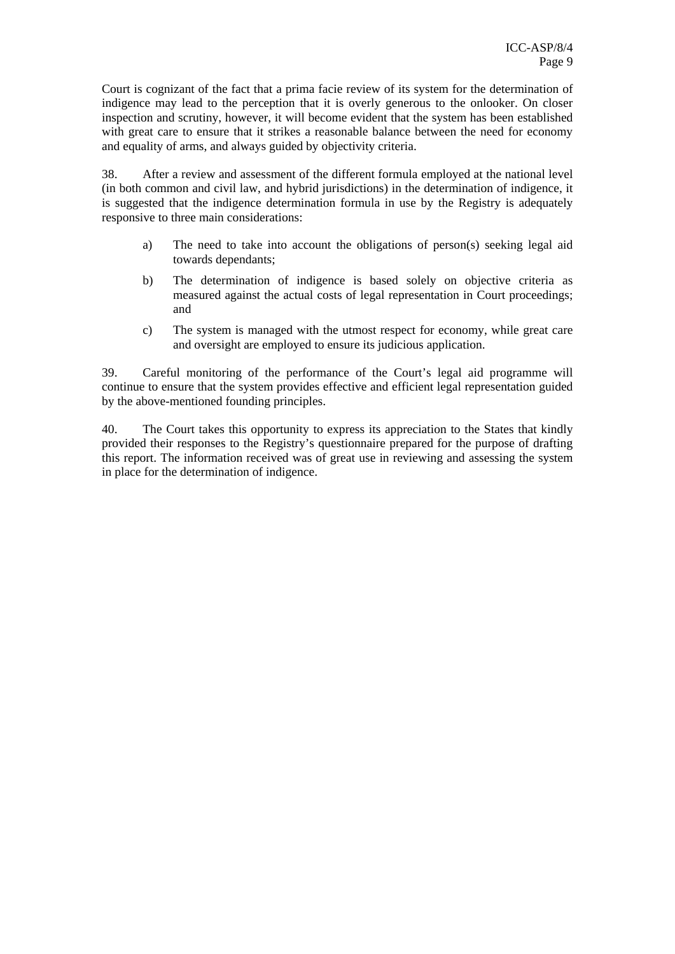Court is cognizant of the fact that a prima facie review of its system for the determination of indigence may lead to the perception that it is overly generous to the onlooker. On closer inspection and scrutiny, however, it will become evident that the system has been established with great care to ensure that it strikes a reasonable balance between the need for economy and equality of arms, and always guided by objectivity criteria.

38. After a review and assessment of the different formula employed at the national level (in both common and civil law, and hybrid jurisdictions) in the determination of indigence, it is suggested that the indigence determination formula in use by the Registry is adequately responsive to three main considerations:

- a) The need to take into account the obligations of person(s) seeking legal aid towards dependants;
- b) The determination of indigence is based solely on objective criteria as measured against the actual costs of legal representation in Court proceedings; and
- c) The system is managed with the utmost respect for economy, while great care and oversight are employed to ensure its judicious application.

39. Careful monitoring of the performance of the Court's legal aid programme will continue to ensure that the system provides effective and efficient legal representation guided by the above-mentioned founding principles.

40. The Court takes this opportunity to express its appreciation to the States that kindly provided their responses to the Registry's questionnaire prepared for the purpose of drafting this report. The information received was of great use in reviewing and assessing the system in place for the determination of indigence.